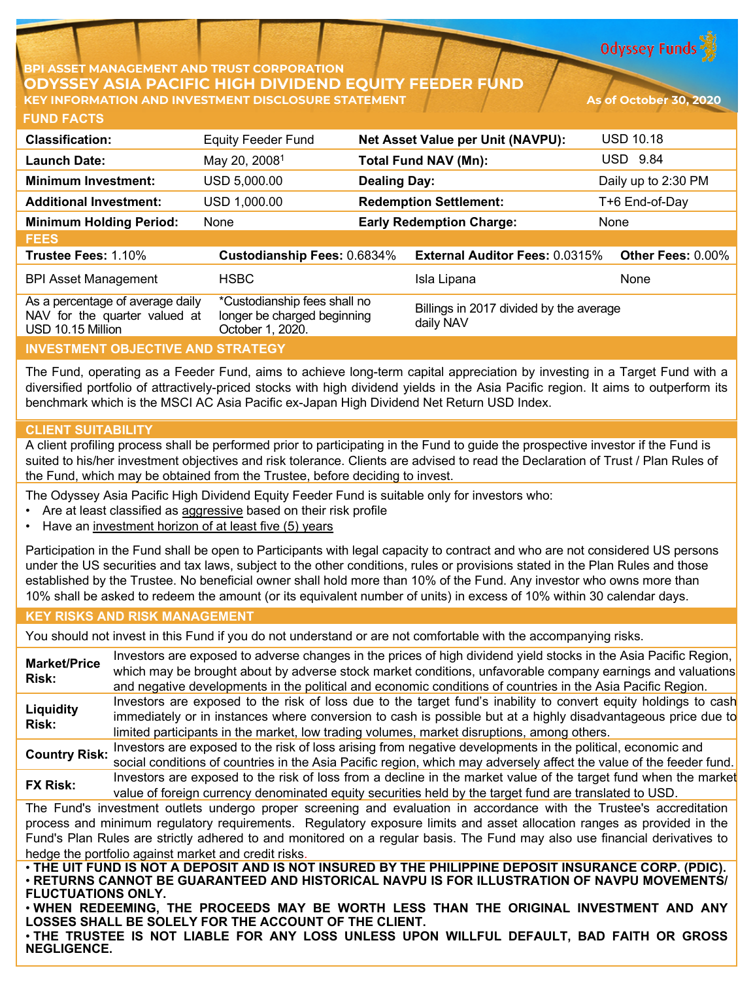**Odyssey Funds** 

# **ASSET MANAGEMENT AND TRUST CORPORATION ODYSSEY ASIA PACIFIC HIGH DIVIDEND EQUITY FEEDER KEY INFORMATION AND INVESTMENT DISCLOSURE STATEMENT As of October 30, 2020**

| <b>Classification:</b>                                                                 | <b>Equity Feeder Fund</b>                                                       |                     | <b>Net Asset Value per Unit (NAVPU):</b>             | <b>USD 10.18</b>         |
|----------------------------------------------------------------------------------------|---------------------------------------------------------------------------------|---------------------|------------------------------------------------------|--------------------------|
| <b>Launch Date:</b>                                                                    | May 20, 2008 <sup>1</sup>                                                       |                     | <b>Total Fund NAV (Mn):</b>                          | <b>USD 9.84</b>          |
| <b>Minimum Investment:</b>                                                             | USD 5,000.00                                                                    | <b>Dealing Day:</b> |                                                      | Daily up to 2:30 PM      |
| <b>Additional Investment:</b>                                                          | USD 1,000.00                                                                    |                     | <b>Redemption Settlement:</b>                        | T+6 End-of-Day           |
| <b>Minimum Holding Period:</b>                                                         | None                                                                            |                     | <b>Early Redemption Charge:</b>                      | None                     |
| <b>FEES</b>                                                                            |                                                                                 |                     |                                                      |                          |
| Trustee Fees: 1.10%                                                                    | Custodianship Fees: 0.6834%                                                     |                     | <b>External Auditor Fees: 0.0315%</b>                | <b>Other Fees: 0.00%</b> |
| <b>BPI Asset Management</b>                                                            | <b>HSBC</b>                                                                     |                     | Isla Lipana                                          | None                     |
| As a percentage of average daily<br>NAV for the quarter valued at<br>USD 10.15 Million | *Custodianship fees shall no<br>longer be charged beginning<br>October 1, 2020. |                     | Billings in 2017 divided by the average<br>daily NAV |                          |
| <b>INVESTMENT OBJECTIVE AND STRATEGY</b>                                               |                                                                                 |                     |                                                      |                          |

The Fund, operating as a Feeder Fund, aims to achieve long-term capital appreciation by investing in a Target Fund with a diversified portfolio of attractively-priced stocks with high dividend yields in the Asia Pacific region. It aims to outperform its

### **CLIENT SUITABILITY**

A client profiling process shall be performed prior to participating in the Fund to guide the prospective investor if the Fund is suited to his/her investment objectives and risk tolerance. Clients are advised to read the Declaration of Trust / Plan Rules of the Fund, which may be obtained from the Trustee, before deciding to invest.

The Odyssey Asia Pacific High Dividend Equity Feeder Fund is suitable only for investors who:

benchmark which is the MSCI AC Asia Pacific ex-Japan High Dividend Net Return USD Index.

- Are at least classified as aggressive based on their risk profile
- Have an investment horizon of at least five (5) years

Participation in the Fund shall be open to Participants with legal capacity to contract and who are not considered US persons under the US securities and tax laws, subject to the other conditions, rules or provisions stated in the Plan Rules and those established by the Trustee. No beneficial owner shall hold more than 10% of the Fund. Any investor who owns more than 10% shall be asked to redeem the amount (or its equivalent number of units) in excess of 10% within 30 calendar days.

### **KEY RISKS AND RISK MANAGEMENT**

You should not invest in this Fund if you do not understand or are not comfortable with the accompanying risks.

**Market/Price Risk:** Investors are exposed to adverse changes in the prices of high dividend yield stocks in the Asia Pacific Region, which may be brought about by adverse stock market conditions, unfavorable company earnings and valuations and negative developments in the political and economic conditions of countries in the Asia Pacific Region. **Liquidity Risk:** Investors are exposed to the risk of loss due to the target fund's inability to convert equity holdings to cash immediately or in instances where conversion to cash is possible but at a highly disadvantageous price due to limited participants in the market, low trading volumes, market disruptions, among others. **Country Risk:** Investors are exposed to the risk of loss arising from negative developments in the political, economic and<br>Country Risk: service canditions of countries in the Asia Resification which were advancely offert social conditions of countries in the Asia Pacific region, which may adversely affect the value of the feeder fund. **FX Risk:** Investors are exposed to the risk of loss from a decline in the market value of the target fund when the market value of foreign currency denominated equity securities held by the target fund are translated to USD. The Fund's investment outlets undergo proper screening and evaluation in accordance with the Trustee's accreditation process and minimum regulatory requirements. Regulatory exposure limits and asset allocation ranges as provided in the Fund's Plan Rules are strictly adhered to and monitored on a regular basis. The Fund may also use financial derivatives to hedge the portfolio against market and credit risks. . THE UIT FUND IS NOT A DEPOSIT AND IS NOT INSURED BY THE PHILIPPINE DEPOSIT INSURANCE CORP. (PDIC). • **RETURNS CANNOT BE GUARANTEED AND HISTORICAL NAVPU IS FOR ILLUSTRATION OF NAVPU MOVEMENTS/ FLUCTUATIONS ONLY.**

• **WHEN REDEEMING, THE PROCEEDS MAY BE WORTH LESS THAN THE ORIGINAL INVESTMENT AND ANY LOSSES SHALL BE SOLELY FOR THE ACCOUNT OF THE CLIENT.**

• **THE TRUSTEE IS NOT LIABLE FOR ANY LOSS UNLESS UPON WILLFUL DEFAULT, BAD FAITH OR GROSS NEGLIGENCE.**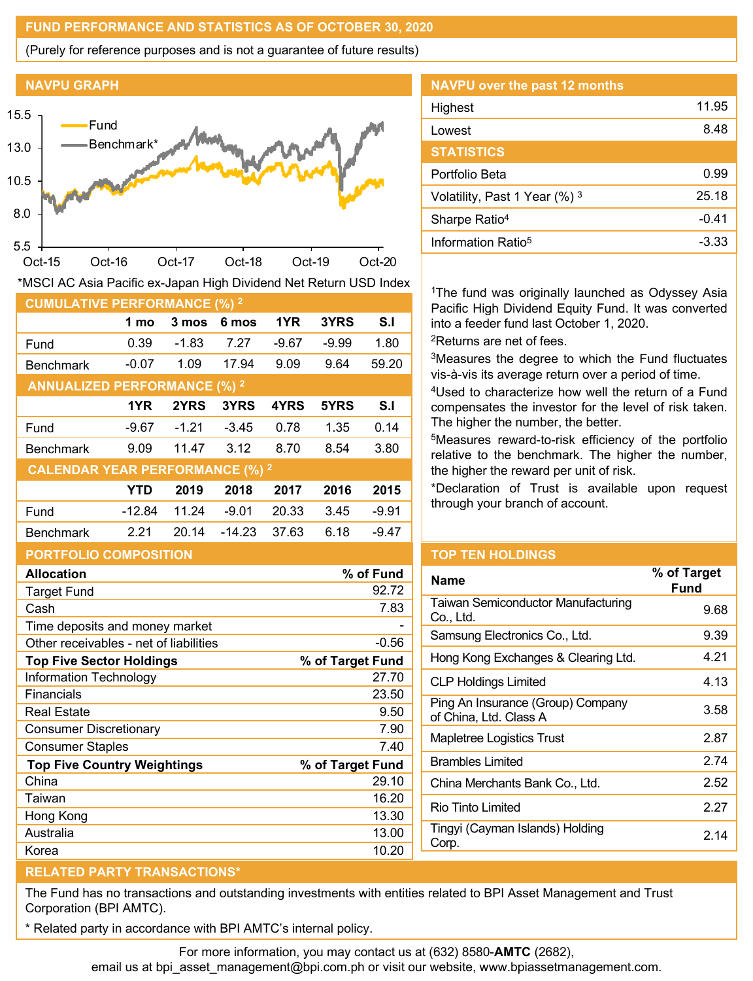### **FUND PERFORMANCE AND STATISTICS AS OF OCTOBER 30, 2020**

(Purely for reference purposes and is not a guarantee of future results)



| *MSCI AC Asia Pacific ex-Japan High Dividend Net Return USD Index |  |  |
|-------------------------------------------------------------------|--|--|
|                                                                   |  |  |

| <b>CUMULATIVE PERFORMANCE (%) 2</b>    |            |         |          |       |         |         |
|----------------------------------------|------------|---------|----------|-------|---------|---------|
|                                        | 1 mo       | 3 mos   | 6 mos    | 1YR   | 3YRS    | S.I     |
| Fund                                   | 0.39       | -1.83   | 7.27     | -9.67 | $-9.99$ | 1.80    |
| <b>Benchmark</b>                       | $-0.07$    | 1.09    | 17.94    | 9.09  | 9.64    | 59.20   |
| <b>ANNUALIZED PERFORMANCE (%) 2</b>    |            |         |          |       |         |         |
|                                        | 1YR        | 2YRS    | 3YRS     | 4YRS  | 5YRS    | S.I     |
| Fund                                   | -9.67      | $-1.21$ | $-3.45$  | 0.78  | 1.35    | 0.14    |
| <b>Benchmark</b>                       | 9.09       | 11.47   | 3.12     | 8.70  | 8.54    | 3.80    |
| <b>CALENDAR YEAR PERFORMANCE (%) 2</b> |            |         |          |       |         |         |
|                                        | <b>YTD</b> | 2019    | 2018     | 2017  | 2016    | 2015    |
| Fund                                   | $-12.84$   | 11.24   | $-9.01$  | 20.33 | 3.45    | $-9.91$ |
| <b>Benchmark</b>                       | 2.21       | 20.14   | $-14.23$ | 37.63 | 6.18    | -9.47   |
| <b>PORTFOLIO COMPOSITION</b>           |            |         |          |       |         |         |

| <b>Allocation</b>                      | % of Fund        |
|----------------------------------------|------------------|
| <b>Target Fund</b>                     | 92.72            |
| Cash                                   | 7.83             |
| Time deposits and money market         |                  |
| Other receivables - net of liabilities | $-0.56$          |
| <b>Top Five Sector Holdings</b>        | % of Target Fund |
| Information Technology                 | 27.70            |
| Financials                             | 23.50            |
| <b>Real Estate</b>                     | 9.50             |
| <b>Consumer Discretionary</b>          | 7.90             |
| <b>Consumer Staples</b>                | 7.40             |
| <b>Top Five Country Weightings</b>     | % of Target Fund |
| China                                  | 29.10            |
| Taiwan                                 | 16.20            |
| Hong Kong                              | 13.30            |
| Australia                              | 13.00            |
| Korea                                  | 10.20            |

| <b>NAVPU over the past 12 months</b> |         |
|--------------------------------------|---------|
| Highest                              | 11.95   |
| Lowest                               | 8.48    |
| <b>STATISTICS</b>                    |         |
| Portfolio Beta                       | 0.99    |
| Volatility, Past 1 Year (%) 3        | 25.18   |
| Sharpe Ratio <sup>4</sup>            | $-0.41$ |
| Information Ratio <sup>5</sup>       | -3.33   |
|                                      |         |

<sup>1</sup>The fund was originally launched as Odyssey Asia Pacific High Dividend Equity Fund. It was converted into a feeder fund last October 1, 2020.

2Returns are net of fees.

3Measures the degree to which the Fund fluctuates vis-à-vis its average return over a period of time.

4Used to characterize how well the return of a Fund compensates the investor for the level of risk taken. The higher the number, the better.

5Measures reward-to-risk efficiency of the portfolio relative to the benchmark. The higher the number, the higher the reward per unit of risk.

\*Declaration of Trust is available upon request through your branch of account.

### **TOP TEN HOLDINGS**

| <b>Name</b>                                                 | % of Target<br>Fund |
|-------------------------------------------------------------|---------------------|
| <b>Taiwan Semiconductor Manufacturing</b><br>Co., Ltd.      | 9.68                |
| Samsung Electronics Co., Ltd.                               | 9.39                |
| Hong Kong Exchanges & Clearing Ltd.                         | 4.21                |
| CLP Holdings Limited                                        | 4.13                |
| Ping An Insurance (Group) Company<br>of China, Ltd. Class A | 3.58                |
| Mapletree Logistics Trust                                   | 2.87                |
| <b>Brambles Limited</b>                                     | 2.74                |
| China Merchants Bank Co., Ltd.                              | 2.52                |
| Rio Tinto Limited                                           | 2.27                |
| Tingyi (Cayman Islands) Holding<br>Corp.                    | 2.14                |
|                                                             |                     |

# **RELATED PARTY TRANSACTIONS\***

The Fund has no transactions and outstanding investments with entities related to BPI Asset Management and Trust Corporation (BPI AMTC).

Related party in accordance with BPI AMTC's internal policy.

For more information, you may contact us at (632) 8580-**AMTC** (2682), email us at bpi\_asset\_management@bpi.com.ph or visit our website, www.bpiassetmanagement.com.